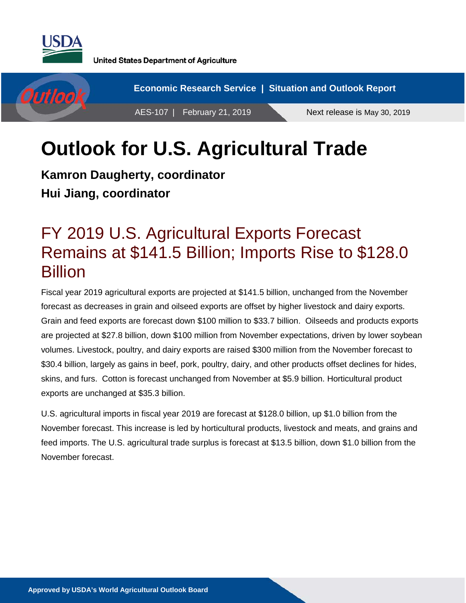



# **Outlook for U.S. Agricultural Trade**

**Kamron Daugherty, coordinator Hui Jiang, coordinator**

### FY 2019 U.S. Agricultural Exports Forecast Remains at \$141.5 Billion; Imports Rise to \$128.0 **Billion**

Fiscal year 2019 agricultural exports are projected at \$141.5 billion, unchanged from the November forecast as decreases in grain and oilseed exports are offset by higher livestock and dairy exports. Grain and feed exports are forecast down \$100 million to \$33.7 billion. Oilseeds and products exports are projected at \$27.8 billion, down \$100 million from November expectations, driven by lower soybean volumes. Livestock, poultry, and dairy exports are raised \$300 million from the November forecast to \$30.4 billion, largely as gains in beef, pork, poultry, dairy, and other products offset declines for hides, skins, and furs. Cotton is forecast unchanged from November at \$5.9 billion. Horticultural product exports are unchanged at \$35.3 billion.

U.S. agricultural imports in fiscal year 2019 are forecast at \$128.0 billion, up \$1.0 billion from the November forecast. This increase is led by horticultural products, livestock and meats, and grains and feed imports. The U.S. agricultural trade surplus is forecast at \$13.5 billion, down \$1.0 billion from the November forecast.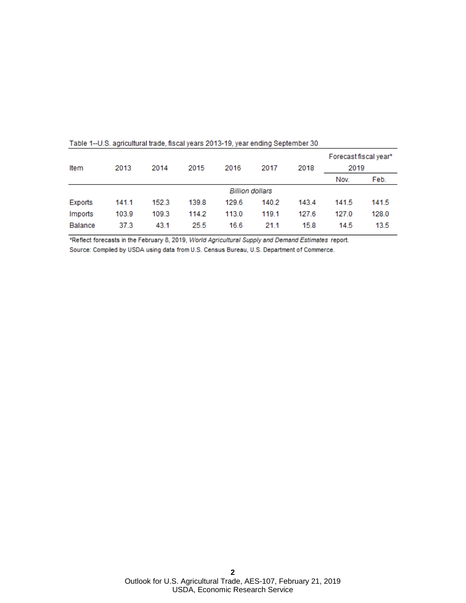| Table 1 G.G. agricultural dago, hovar judio Eo Io To, judi viranty obplombor ou |       |       |       |                        |       |       |                               |       |  |  |  |  |
|---------------------------------------------------------------------------------|-------|-------|-------|------------------------|-------|-------|-------------------------------|-------|--|--|--|--|
| Item                                                                            | 2013  | 2014  | 2015  | 2016                   | 2017  | 2018  | Forecast fiscal year*<br>2019 |       |  |  |  |  |
|                                                                                 |       |       |       |                        |       |       | Nov.                          | Feb.  |  |  |  |  |
|                                                                                 |       |       |       | <b>Billion dollars</b> |       |       |                               |       |  |  |  |  |
| Exports                                                                         | 141.1 | 152.3 | 139.8 | 129.6                  | 140.2 | 143.4 | 141.5                         | 141.5 |  |  |  |  |
| Imports                                                                         | 103.9 | 109.3 | 114.2 | 113.0                  | 119.1 | 127.6 | 127.0                         | 128.0 |  |  |  |  |
| <b>Balance</b>                                                                  | 37.3  | 43.1  | 25.5  | 16.6                   | 21.1  | 15.8  | 14.5                          | 13.5  |  |  |  |  |

Table 1--U.S. agricultural trade, fiscal years 2013-19, year ending September 30

\*Reflect forecasts in the February 8, 2019, World Agricultural Supply and Demand Estimates report. Source: Compiled by USDA using data from U.S. Census Bureau, U.S. Department of Commerce.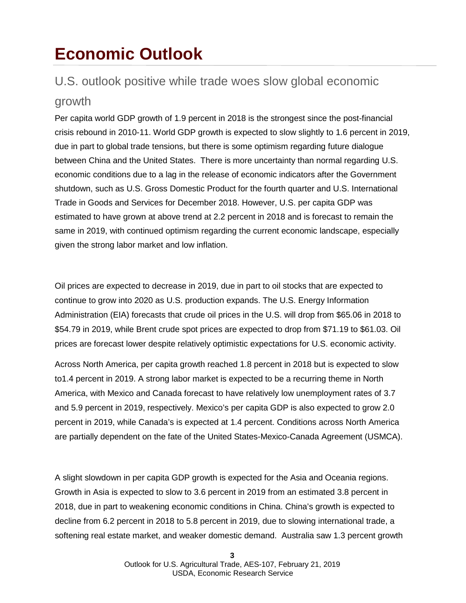### **Economic Outlook**

### U.S. outlook positive while trade woes slow global economic

### growth

Per capita world GDP growth of 1.9 percent in 2018 is the strongest since the post-financial crisis rebound in 2010-11. World GDP growth is expected to slow slightly to 1.6 percent in 2019, due in part to global trade tensions, but there is some optimism regarding future dialogue between China and the United States. There is more uncertainty than normal regarding U.S. economic conditions due to a lag in the release of economic indicators after the Government shutdown, such as U.S. Gross Domestic Product for the fourth quarter and U.S. International Trade in Goods and Services for December 2018. However, U.S. per capita GDP was estimated to have grown at above trend at 2.2 percent in 2018 and is forecast to remain the same in 2019, with continued optimism regarding the current economic landscape, especially given the strong labor market and low inflation.

Oil prices are expected to decrease in 2019, due in part to oil stocks that are expected to continue to grow into 2020 as U.S. production expands. The U.S. Energy Information Administration (EIA) forecasts that crude oil prices in the U.S. will drop from \$65.06 in 2018 to \$54.79 in 2019, while Brent crude spot prices are expected to drop from \$71.19 to \$61.03. Oil prices are forecast lower despite relatively optimistic expectations for U.S. economic activity.

Across North America, per capita growth reached 1.8 percent in 2018 but is expected to slow to1.4 percent in 2019. A strong labor market is expected to be a recurring theme in North America, with Mexico and Canada forecast to have relatively low unemployment rates of 3.7 and 5.9 percent in 2019, respectively. Mexico's per capita GDP is also expected to grow 2.0 percent in 2019, while Canada's is expected at 1.4 percent. Conditions across North America are partially dependent on the fate of the United States-Mexico-Canada Agreement (USMCA).

A slight slowdown in per capita GDP growth is expected for the Asia and Oceania regions. Growth in Asia is expected to slow to 3.6 percent in 2019 from an estimated 3.8 percent in 2018, due in part to weakening economic conditions in China. China's growth is expected to decline from 6.2 percent in 2018 to 5.8 percent in 2019, due to slowing international trade, a softening real estate market, and weaker domestic demand. Australia saw 1.3 percent growth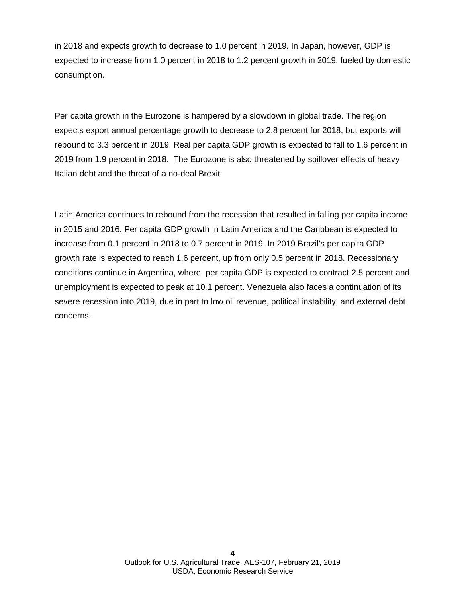in 2018 and expects growth to decrease to 1.0 percent in 2019. In Japan, however, GDP is expected to increase from 1.0 percent in 2018 to 1.2 percent growth in 2019, fueled by domestic consumption.

Per capita growth in the Eurozone is hampered by a slowdown in global trade. The region expects export annual percentage growth to decrease to 2.8 percent for 2018, but exports will rebound to 3.3 percent in 2019. Real per capita GDP growth is expected to fall to 1.6 percent in 2019 from 1.9 percent in 2018. The Eurozone is also threatened by spillover effects of heavy Italian debt and the threat of a no-deal Brexit.

Latin America continues to rebound from the recession that resulted in falling per capita income in 2015 and 2016. Per capita GDP growth in Latin America and the Caribbean is expected to increase from 0.1 percent in 2018 to 0.7 percent in 2019. In 2019 Brazil's per capita GDP growth rate is expected to reach 1.6 percent, up from only 0.5 percent in 2018. Recessionary conditions continue in Argentina, where per capita GDP is expected to contract 2.5 percent and unemployment is expected to peak at 10.1 percent. Venezuela also faces a continuation of its severe recession into 2019, due in part to low oil revenue, political instability, and external debt concerns.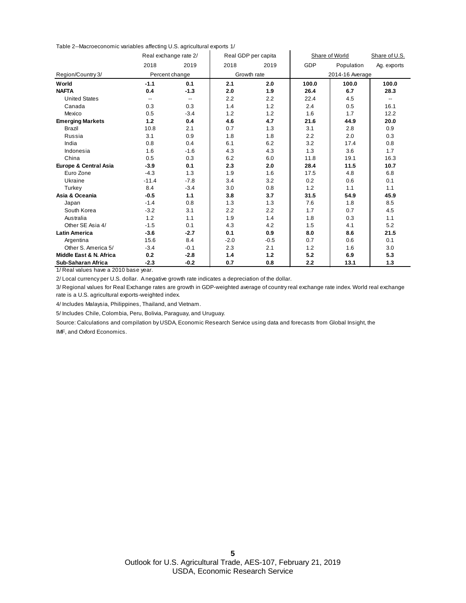Table 2--Macroeconomic variables affecting U.S. agricultural exports 1/

|                         |                | Real exchange rate 2/ |        | Real GDP per capita | Share of World | Share of U.S.   |             |
|-------------------------|----------------|-----------------------|--------|---------------------|----------------|-----------------|-------------|
|                         | 2018           | 2019                  | 2018   | 2019                | <b>GDP</b>     | Population      | Ag. exports |
| Region/Country 3/       | Percent change |                       |        | Growth rate         |                | 2014-16 Average |             |
| World                   | $-1.1$         | 0.1                   | 2.1    | 2.0                 | 100.0          | 100.0           | 100.0       |
| <b>NAFTA</b>            | 0.4            | $-1.3$                | 2.0    | 1.9                 | 26.4           | 6.7             | 28.3        |
| <b>United States</b>    | $\overline{a}$ | --                    | 2.2    | 2.2                 | 22.4           | 4.5             | --          |
| Canada                  | 0.3            | 0.3                   | 1.4    | 1.2                 | 2.4            | 0.5             | 16.1        |
| Mexico                  | 0.5            | $-3.4$                | 1.2    | 1.2                 | 1.6            | 1.7             | 12.2        |
| <b>Emerging Markets</b> | 1.2            | 0.4                   | 4.6    | 4.7                 | 21.6           | 44.9            | 20.0        |
| Brazil                  | 10.8           | 2.1                   | 0.7    | 1.3                 | 3.1            | 2.8             | 0.9         |
| Russia                  | 3.1            | 0.9                   | 1.8    | 1.8                 | 2.2            | 2.0             | 0.3         |
| India                   | 0.8            | 0.4                   | 6.1    | 6.2                 | 3.2            | 17.4            | 0.8         |
| Indonesia               | 1.6            | $-1.6$                | 4.3    | 4.3                 | 1.3            | 3.6             | 1.7         |
| China                   | 0.5            | 0.3                   | 6.2    | 6.0                 | 11.8           | 19.1            | 16.3        |
| Europe & Central Asia   | $-3.9$         | 0.1                   | 2.3    | 2.0                 | 28.4           | 11.5            | 10.7        |
| Euro Zone               | $-4.3$         | 1.3                   | 1.9    | 1.6                 | 17.5           | 4.8             | 6.8         |
| Ukraine                 | $-11.4$        | $-7.8$                | 3.4    | 3.2                 | 0.2            | 0.6             | 0.1         |
| Turkey                  | 8.4            | $-3.4$                | 3.0    | 0.8                 | 1.2            | 1.1             | 1.1         |
| Asia & Oceania          | $-0.5$         | 1.1                   | 3.8    | 3.7                 | 31.5           | 54.9            | 45.9        |
| Japan                   | $-1.4$         | 0.8                   | 1.3    | 1.3                 | 7.6            | 1.8             | 8.5         |
| South Korea             | $-3.2$         | 3.1                   | 2.2    | 2.2                 | 1.7            | 0.7             | 4.5         |
| Australia               | 1.2            | 1.1                   | 1.9    | 1.4                 | 1.8            | 0.3             | 1.1         |
| Other SE Asia 4/        | $-1.5$         | 0.1                   | 4.3    | 4.2                 | 1.5            | 4.1             | 5.2         |
| <b>Latin America</b>    | $-3.6$         | $-2.7$                | 0.1    | 0.9                 | 8.0            | 8.6             | 21.5        |
| Argentina               | 15.6           | 8.4                   | $-2.0$ | $-0.5$              | 0.7            | 0.6             | 0.1         |
| Other S. America 5/     | $-3.4$         | $-0.1$                | 2.3    | 2.1                 | 1.2            | 1.6             | 3.0         |
| Middle East & N. Africa | 0.2            | $-2.8$                | 1.4    | 1.2                 | 5.2            | 6.9             | 5.3         |
| Sub-Saharan Africa      | $-2.3$         | $-0.2$                | 0.7    | 0.8                 | 2.2            | 13.1            | 1.3         |

1/ Real values have a 2010 base year.

2/ Local currency per U.S. dollar. A negative growth rate indicates a depreciation of the dollar.

3/ Regional values for Real Exchange rates are growth in GDP-weighted average of country real exchange rate index. World real exchange rate is a U.S. agricultural exports-weighted index.

4/ Includes Malaysia, Philippines, Thailand, and Vietnam.

5/ Includes Chile, Colombia, Peru, Bolivia, Paraguay, and Uruguay.

Source: Calculations and compilation by USDA, Economic Research Service using data and forecasts from Global Insight, the IMF, and Oxford Economics.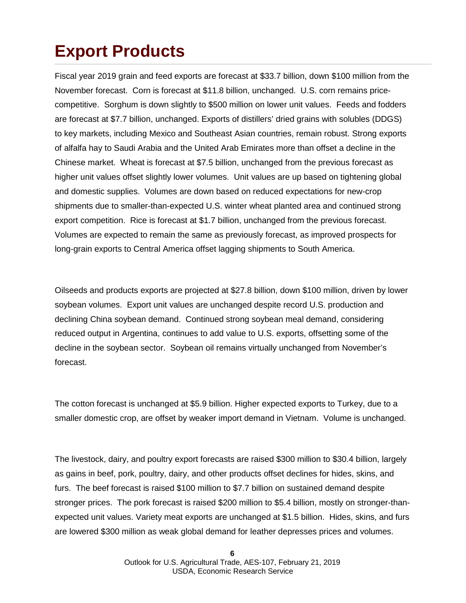# **Export Products**

Fiscal year 2019 grain and feed exports are forecast at \$33.7 billion, down \$100 million from the November forecast. Corn is forecast at \$11.8 billion, unchanged. U.S. corn remains pricecompetitive. Sorghum is down slightly to \$500 million on lower unit values. Feeds and fodders are forecast at \$7.7 billion, unchanged. Exports of distillers' dried grains with solubles (DDGS) to key markets, including Mexico and Southeast Asian countries, remain robust. Strong exports of alfalfa hay to Saudi Arabia and the United Arab Emirates more than offset a decline in the Chinese market. Wheat is forecast at \$7.5 billion, unchanged from the previous forecast as higher unit values offset slightly lower volumes. Unit values are up based on tightening global and domestic supplies. Volumes are down based on reduced expectations for new-crop shipments due to smaller-than-expected U.S. winter wheat planted area and continued strong export competition. Rice is forecast at \$1.7 billion, unchanged from the previous forecast. Volumes are expected to remain the same as previously forecast, as improved prospects for long-grain exports to Central America offset lagging shipments to South America.

Oilseeds and products exports are projected at \$27.8 billion, down \$100 million, driven by lower soybean volumes. Export unit values are unchanged despite record U.S. production and declining China soybean demand. Continued strong soybean meal demand, considering reduced output in Argentina, continues to add value to U.S. exports, offsetting some of the decline in the soybean sector. Soybean oil remains virtually unchanged from November's forecast.

The cotton forecast is unchanged at \$5.9 billion. Higher expected exports to Turkey, due to a smaller domestic crop, are offset by weaker import demand in Vietnam. Volume is unchanged.

The livestock, dairy, and poultry export forecasts are raised \$300 million to \$30.4 billion, largely as gains in beef, pork, poultry, dairy, and other products offset declines for hides, skins, and furs. The beef forecast is raised \$100 million to \$7.7 billion on sustained demand despite stronger prices. The pork forecast is raised \$200 million to \$5.4 billion, mostly on stronger-thanexpected unit values. Variety meat exports are unchanged at \$1.5 billion. Hides, skins, and furs are lowered \$300 million as weak global demand for leather depresses prices and volumes.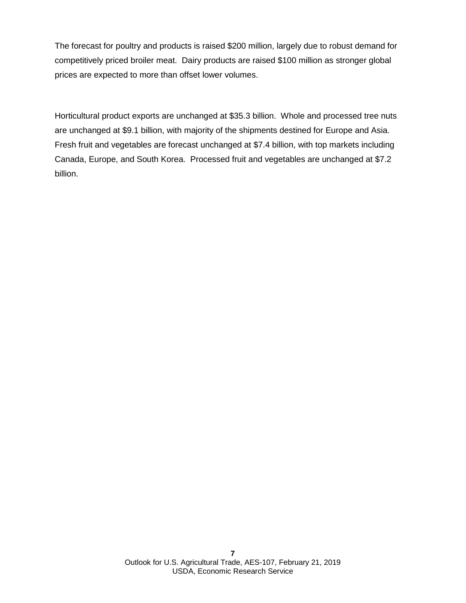The forecast for poultry and products is raised \$200 million, largely due to robust demand for competitively priced broiler meat. Dairy products are raised \$100 million as stronger global prices are expected to more than offset lower volumes.

Horticultural product exports are unchanged at \$35.3 billion. Whole and processed tree nuts are unchanged at \$9.1 billion, with majority of the shipments destined for Europe and Asia. Fresh fruit and vegetables are forecast unchanged at \$7.4 billion, with top markets including Canada, Europe, and South Korea. Processed fruit and vegetables are unchanged at \$7.2 billion.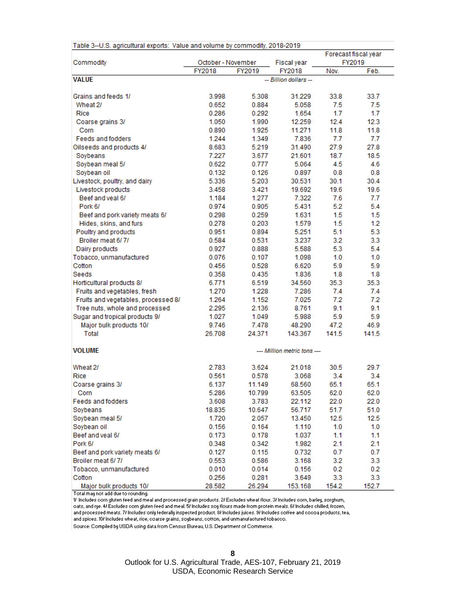| Table 3--U.S. agricultural exports: Value and volume by commodity, 2018-2019 |                    |        |                             |               |                      |
|------------------------------------------------------------------------------|--------------------|--------|-----------------------------|---------------|----------------------|
|                                                                              |                    |        |                             |               | Forecast fiscal year |
| Commodity                                                                    | October - November |        | Fiscal year                 |               | FY2019               |
|                                                                              | FY2018             | FY2019 | FY2018                      | Nov.          | Feb.                 |
| <b>VALUE</b>                                                                 |                    |        | -- Billion dollars --       |               |                      |
|                                                                              |                    |        |                             |               |                      |
| Grains and feeds 1/                                                          | 3.998              | 5.308  | 31.229                      | 33.8          | 33.7                 |
| Wheat 2/                                                                     | 0.652              | 0.884  | 5.058                       | 7.5           | 7.5                  |
| Rice                                                                         | 0.286              | 0.292  | 1.654                       | 1.7           | 1.7                  |
| Coarse grains 3/                                                             | 1.050              | 1.990  | 12.259                      | 12.4          | 12.3                 |
| Corn                                                                         | 0.890              | 1.925  | 11.271                      | 11.8          | 11.8                 |
| <b>Feeds and fodders</b>                                                     | 1.244              | 1.349  | 7.836                       | 7.7           | 7.7                  |
| Oilseeds and products 4/                                                     | 8.683              | 5.219  | 31.490                      | 27.9          | 27.8                 |
| Soybeans                                                                     | 7.227              | 3.677  | 21.601                      | 18.7          | 18.5                 |
| Soybean meal 5/                                                              | 0.622              | 0.777  | 5.064                       | 4.5           | 4.6                  |
| Soybean oil                                                                  | 0.132              | 0.126  | 0.897                       | 0.8           | 0.8                  |
| Livestock, poultry, and dairy                                                | 5.336              | 5.203  | 30.531                      | 30.1          | 30.4                 |
| Livestock products                                                           | 3.458              | 3.421  | 19.692                      | 19.6          | 19.6                 |
| Beef and veal 6/                                                             | 1.184              | 1.277  | 7.322                       | 7.6           | 7.7                  |
| Pork 6/                                                                      | 0.974              | 0.905  | 5.431                       | 5.2           | 5.4                  |
| Beef and pork variety meats 6/                                               | 0.298              | 0.259  | 1.631                       | 1.5           | 1.5                  |
| Hides, skins, and furs                                                       | 0.278              | 0.203  | 1.579                       | 1.5           | 1.2                  |
| Poultry and products                                                         | 0.951              | 0.894  | 5.251                       | 5.1           | 5.3                  |
| Broiler meat 6/7/                                                            | 0.584              | 0.531  | 3.237                       | 3.2           | 3.3                  |
| Dairy products                                                               | 0.927              | 0.888  | 5.588                       | 5.3           | 5.4                  |
| Tobacco, unmanufactured                                                      | 0.076              | 0.107  | 1.098                       | 1.0           | 1.0                  |
| Cotton                                                                       | 0.456              | 0.528  | 6.620                       | 5.9           | 5.9                  |
| Seeds                                                                        | 0.358              | 0.435  | 1.836                       | 1.8           | 1.8                  |
| Horticultural products 8/                                                    | 6.771              | 6.519  | 34.560                      | 35.3          | 35.3                 |
| Fruits and vegetables, fresh                                                 | 1.270              | 1.228  | 7.286                       | 7.4           | 7.4                  |
| Fruits and vegetables, processed 8/                                          | 1.264              | 1.152  | 7.025                       | 7.2           | 7.2                  |
| Tree nuts, whole and processed                                               | 2.295              | 2.136  | 8.761                       | 9.1           | 9.1                  |
| Sugar and tropical products 9/                                               | 1.027              | 1.049  | 5.988                       | 5.9           | 5.9                  |
| Major bulk products 10/<br>Total                                             | 9.746              | 7.478  | 48.290                      | 47.2<br>141.5 | 46.9<br>141.5        |
|                                                                              | 26.708             | 24.371 | 143.367                     |               |                      |
| <b>VOLUME</b>                                                                |                    |        | --- Million metric tons --- |               |                      |
| Wheat 2/                                                                     | 2.783              | 3.624  | 21.018                      | 30.5          | 29.7                 |
| Rice                                                                         | 0.561              | 0.578  | 3.068                       | 3.4           | 3.4                  |
| Coarse grains 3/                                                             | 6.137              | 11.149 | 68.560                      | 65.1          | 65.1                 |
| Corn                                                                         | 5.286              | 10.799 | 63.505                      | 62.0          | 62.0                 |
| <b>Feeds and fodders</b>                                                     | 3.608              | 3.783  | 22.112                      | 22.0          | 22.0                 |
| Soybeans                                                                     | 18.835             | 10.647 | 56.717                      | 51.7          | 51.0                 |
| Soybean meal 5/                                                              | 1.720              | 2.057  | 13.450                      | 12.5          | 12.5                 |
| Soybean oil                                                                  | 0.156              | 0.164  | 1.110                       | 1.0           | 1.0                  |
| Beef and yeal 6/                                                             | 0.173              | 0.178  | 1.037                       | 1.1           | 1.1                  |
| Pork 6/                                                                      | 0.348              | 0.342  | 1.982                       | 2.1           | 2.1                  |
| Beef and pork variety meats 6/                                               | 0.127              | 0.115  | 0.732                       | 0.7           | 0.7                  |
| Broiler meat 6/7/                                                            | 0.553              | 0.586  | 3.168                       | 3.2           | 3.3                  |
| Tobacco, unmanufactured                                                      | 0.010              | 0.014  | 0.156                       | 0.2           | 0.2                  |
| Cotton                                                                       | 0.256              | 0.281  | 3.649                       | 3.3           | 3.3 <sub>°</sub>     |
| Major bulk products 10/                                                      | 28.582             | 26.294 | 153.168                     | 154.2         | 152.7                |

Total may not add due to rounding.<br>Total may not add due to rounding.<br>If Includes corn gluten feed and meal and processed grain products. 2/ Excludes wheat flour. 3/ Includes corn, barley, sorghum,

oats, and rye. 4/ Excludes corn gluten feed and meal. 5/ Includes soy flours made from protein meals. 6/ Includes chilled, frozen,

and processed meats. 7/ Includes only federally inspected product. 8/ Includes juices. 9/ Includes coffee and cocoa products, tea,

and spices. 10/ Includes wheat, rice, coarse grains, soybeans, cotton, and unmanufactured tobacco.

Source: Compiled by USDA using data from Census Bureau, U.S. Department of Commerce.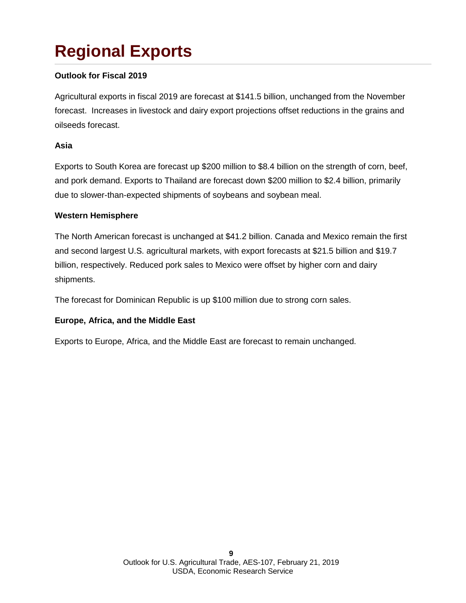# **Regional Exports**

### **Outlook for Fiscal 2019**

Agricultural exports in fiscal 2019 are forecast at \$141.5 billion, unchanged from the November forecast. Increases in livestock and dairy export projections offset reductions in the grains and oilseeds forecast.

#### **Asia**

Exports to South Korea are forecast up \$200 million to \$8.4 billion on the strength of corn, beef, and pork demand. Exports to Thailand are forecast down \$200 million to \$2.4 billion, primarily due to slower-than-expected shipments of soybeans and soybean meal.

#### **Western Hemisphere**

The North American forecast is unchanged at \$41.2 billion. Canada and Mexico remain the first and second largest U.S. agricultural markets, with export forecasts at \$21.5 billion and \$19.7 billion, respectively. Reduced pork sales to Mexico were offset by higher corn and dairy shipments.

The forecast for Dominican Republic is up \$100 million due to strong corn sales.

#### **Europe, Africa, and the Middle East**

Exports to Europe, Africa, and the Middle East are forecast to remain unchanged.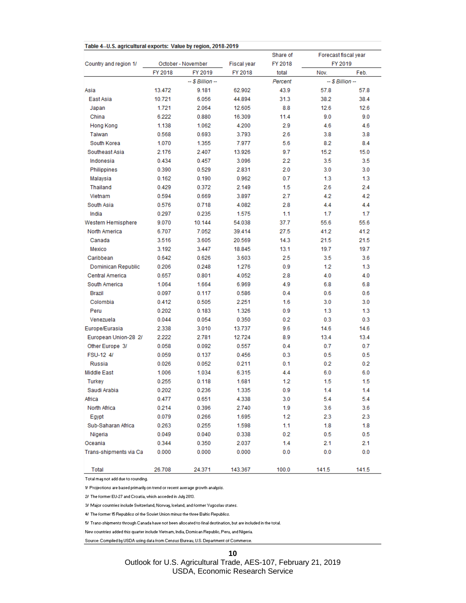|                        |                    |                    |             | Share of | Forecast fiscal year |       |  |  |
|------------------------|--------------------|--------------------|-------------|----------|----------------------|-------|--|--|
| Country and region 1/  | October - November |                    | Fiscal year | FY 2018  | FY 2019              |       |  |  |
|                        | FY 2018            | FY 2019            | FY 2018     | total    | Nov.                 | Feb.  |  |  |
|                        |                    | $-$ \$ Billion $-$ |             | Percent  | $-$ \$ Billion $-$   |       |  |  |
| Asia                   | 13.472             | 9.181              | 62.902      | 43.9     | 57.8                 | 57.8  |  |  |
| East Asia              | 10.721             | 6.056              | 44.894      | 31.3     | 38.2                 | 38.4  |  |  |
| Japan                  | 1.721              | 2.064              | 12.605      | 8.8      | 12.6                 | 12.6  |  |  |
| China                  | 6.222              | 0.880              | 16.309      | 11.4     | 9.0                  | 9.0   |  |  |
| <b>Hong Kong</b>       | 1.138              | 1.062              | 4.200       | 2.9      | 4.6                  | 4.6   |  |  |
| Taiwan                 | 0.568              | 0.693              | 3.793       | 2.6      | 3.8                  | 3.8   |  |  |
| South Korea            | 1.070              | 1.355              | 7.977       | 5.6      | 8.2                  | 8.4   |  |  |
| Southeast Asia         | 2.176              | 2.407              | 13.926      | 9.7      | 15.2                 | 15.0  |  |  |
| Indonesia              | 0.434              | 0.457              | 3.096       | 2.2      | 3.5                  | 3.5   |  |  |
| Philippines            | 0.390              | 0.529              | 2.831       | 2.0      | 3.0                  | 3.0   |  |  |
| Malaysia               | 0.162              | 0.190              | 0.962       | 0.7      | 1.3                  | 1.3   |  |  |
| Thailand               | 0.429              | 0.372              | 2.149       | 1.5      | 2.6                  | 2.4   |  |  |
| Vietnam                | 0.594              | 0.669              | 3.897       | 2.7      | 4.2                  | 4.2   |  |  |
| South Asia             | 0.576              | 0.718              | 4.082       | 2.8      | 4.4                  | 4.4   |  |  |
| India                  | 0.297              | 0.235              | 1.575       | 1.1      | 1.7                  | 1.7   |  |  |
| Western Hemisphere     | 9.070              | 10.144             | 54.038      | 37.7     | 55.6                 | 55.6  |  |  |
| North America          | 6.707              | 7.052              | 39.414      | 27.5     | 41.2                 | 41.2  |  |  |
| Canada                 | 3.516              | 3.605              | 20.569      | 14.3     | 21.5                 | 21.5  |  |  |
| Mexico                 | 3.192              | 3.447              | 18.845      | 13.1     | 19.7                 | 19.7  |  |  |
| Caribbean              | 0.642              | 0.626              | 3.603       | 2.5      | 3.5                  | 3.6   |  |  |
| Dominican Republic     | 0.206              | 0.248              | 1.276       | 0.9      | 1.2                  | 1.3   |  |  |
| Central America        | 0.657              | 0.801              | 4.052       | 2.8      | 4.0                  | 4.0   |  |  |
| South America          | 1.064              | 1.664              | 6.969       | 4.9      | 6.8                  | 6.8   |  |  |
| Brazil                 | 0.097              | 0.117              | 0.586       | 0.4      | 0.6                  | 0.6   |  |  |
| Colombia               | 0.412              | 0.505              | 2.251       | 1.6      | 3.0                  | 3.0   |  |  |
| Peru                   | 0.202              | 0.183              | 1.326       | 0.9      | 1.3                  | 1.3   |  |  |
| Venezuela              | 0.044              | 0.054              | 0.350       | 0.2      | 0.3                  | 0.3   |  |  |
| Europe/Eurasia         | 2.338              | 3.010              | 13.737      | 9.6      | 14.6                 | 14.6  |  |  |
| European Union-28 2/   | 2.222              | 2.781              | 12.724      | 8.9      | 13.4                 | 13.4  |  |  |
| Other Europe 3/        | 0.058              | 0.092              | 0.557       | 0.4      | 0.7                  | 0.7   |  |  |
| FSU-12 4/              | 0.059              | 0.137              | 0.456       | 0.3      | 0.5                  | 0.5   |  |  |
| <b>Russia</b>          | 0.026              | 0.052              | 0.211       | 0.1      | 0.2                  | 0.2   |  |  |
| Middle East            | 1.006              | 1.034              | 6.315       | 4.4      | 6.0                  | 6.0   |  |  |
| Turkey                 | 0.255              | 0.118              | 1.681       | 1.2      | 1.5                  | 1.5   |  |  |
| Saudi Arabia           | 0.202              | 0.236              | 1.335       | 0.9      | 1.4                  | 1.4   |  |  |
| Africa                 | 0.477              | 0.651              | 4.338       | 3.0      | 5.4                  | 5.4   |  |  |
|                        |                    |                    |             |          |                      |       |  |  |
| North Africa           | 0.214              | 0.396              | 2.740       | 1.9      | 3.6<br>2.3           | 3.6   |  |  |
| Egypt                  | 0.079              | 0.266              | 1.695       | 1.2      |                      | 2.3   |  |  |
| Sub-Saharan Africa     | 0.263              | 0.255              | 1.598       | 1.1      | 1.8                  | 1.8   |  |  |
| Nigeria                | 0.049              | 0.040              | 0.338       | 0.2      | 0.5                  | 0.5   |  |  |
| Oceania                | 0.344              | 0.350              | 2.037       | 1.4      | 2.1                  | 2.1   |  |  |
| Trans-shipments via Ca | 0.000              | 0.000              | 0.000       | 0.0      | 0.0                  | 0.0   |  |  |
| <b>Total</b>           | 26.708             | 24.371             | 143.367     | 100.0    | 141.5                | 141.5 |  |  |

Total may not add due to rounding.

 ${\mathcal{H}}$  Projections are based primarily on trend or recent average growth analysis.

2/ The former EU-27 and Croatia, which acceded in July 2013.

3/ Major countries include Switzerland, Norway, Iceland, and former Yugoslav states.

4/ The former 15 Republics of the Soviet Union minus the three Baltic Republics.

5/ Trans-shipments through Canada have not been allocated to final destination, but are included in the total.

New countries added this quarter include Vietnam, India, Domican Republic, Peru, and Nigeria.

Source: Compiled by USDA using data from Census Bureau, U.S. Department of Commerce.

**10**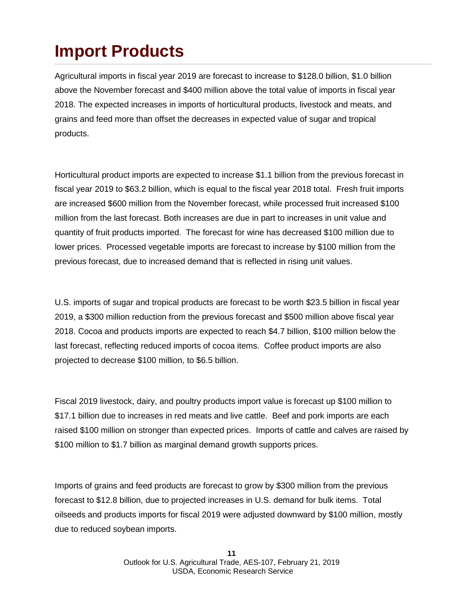## **Import Products**

Agricultural imports in fiscal year 2019 are forecast to increase to \$128.0 billion, \$1.0 billion above the November forecast and \$400 million above the total value of imports in fiscal year 2018. The expected increases in imports of horticultural products, livestock and meats, and grains and feed more than offset the decreases in expected value of sugar and tropical products.

Horticultural product imports are expected to increase \$1.1 billion from the previous forecast in fiscal year 2019 to \$63.2 billion, which is equal to the fiscal year 2018 total. Fresh fruit imports are increased \$600 million from the November forecast, while processed fruit increased \$100 million from the last forecast. Both increases are due in part to increases in unit value and quantity of fruit products imported. The forecast for wine has decreased \$100 million due to lower prices. Processed vegetable imports are forecast to increase by \$100 million from the previous forecast, due to increased demand that is reflected in rising unit values.

U.S. imports of sugar and tropical products are forecast to be worth \$23.5 billion in fiscal year 2019, a \$300 million reduction from the previous forecast and \$500 million above fiscal year 2018. Cocoa and products imports are expected to reach \$4.7 billion, \$100 million below the last forecast, reflecting reduced imports of cocoa items. Coffee product imports are also projected to decrease \$100 million, to \$6.5 billion.

Fiscal 2019 livestock, dairy, and poultry products import value is forecast up \$100 million to \$17.1 billion due to increases in red meats and live cattle. Beef and pork imports are each raised \$100 million on stronger than expected prices. Imports of cattle and calves are raised by \$100 million to \$1.7 billion as marginal demand growth supports prices.

Imports of grains and feed products are forecast to grow by \$300 million from the previous forecast to \$12.8 billion, due to projected increases in U.S. demand for bulk items. Total oilseeds and products imports for fiscal 2019 were adjusted downward by \$100 million, mostly due to reduced soybean imports.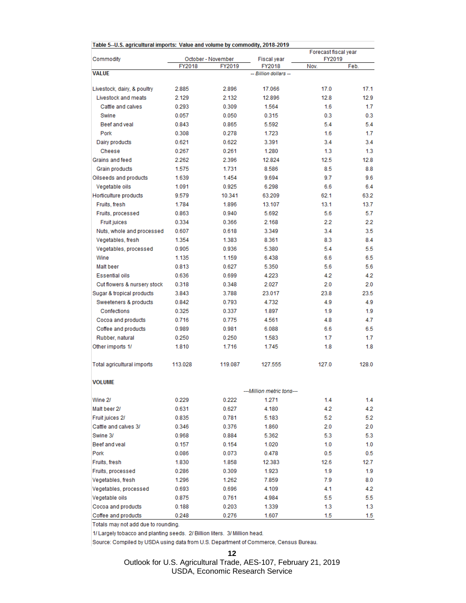| Table 5--U.S. agricultural imports: Value and volume by commodity, 2018-2019 |         |                              |                              |                |                      |  |  |  |  |  |  |  |
|------------------------------------------------------------------------------|---------|------------------------------|------------------------------|----------------|----------------------|--|--|--|--|--|--|--|
|                                                                              |         |                              |                              |                | Forecast fiscal year |  |  |  |  |  |  |  |
| Commodity                                                                    | FY2018  | October - November<br>FY2019 | <b>Fiscal year</b><br>FY2018 | FY2019<br>Nov. | Feb.                 |  |  |  |  |  |  |  |
| <b>VALUE</b>                                                                 |         |                              | -- Billion dollars --        |                |                      |  |  |  |  |  |  |  |
|                                                                              |         |                              |                              |                |                      |  |  |  |  |  |  |  |
| Livestock, dairy, & poultry                                                  | 2.885   | 2.896                        | 17.066                       | 17.0           | 17.1                 |  |  |  |  |  |  |  |
| Livestock and meats                                                          | 2.129   | 2.132                        | 12.896                       | 12.8           | 12.9                 |  |  |  |  |  |  |  |
| Cattle and calves                                                            | 0.293   | 0.309                        | 1.564                        | 1.6            | 1.7                  |  |  |  |  |  |  |  |
| Swine                                                                        | 0.057   | 0.050                        | 0.315                        | 0.3            | 0.3                  |  |  |  |  |  |  |  |
| Beef and yeal                                                                | 0.843   | 0.865                        | 5.592                        | 5.4            | 5.4                  |  |  |  |  |  |  |  |
| Pork                                                                         | 0.308   | 0.278                        | 1.723                        | 1.6            | 1.7                  |  |  |  |  |  |  |  |
| Dairy products                                                               | 0.621   | 0.622                        | 3.391                        | 3.4            | 3.4                  |  |  |  |  |  |  |  |
| Cheese                                                                       | 0.267   | 0.261                        | 1.280                        | 1.3            | 1.3                  |  |  |  |  |  |  |  |
| Grains and feed                                                              | 2.262   | 2.396                        | 12.824                       | 12.5           | 12.8                 |  |  |  |  |  |  |  |
| Grain products                                                               | 1.575   | 1.731                        | 8.586                        | 8.5            | 8.8                  |  |  |  |  |  |  |  |
| Oilseeds and products                                                        | 1.639   | 1.454                        | 9.694                        | 9.7            | 9.6                  |  |  |  |  |  |  |  |
| Vegetable oils                                                               | 1.091   | 0.925                        | 6.298                        | 6.6            | 6.4                  |  |  |  |  |  |  |  |
| Horticulture products                                                        | 9.579   | 10.341                       | 63.209                       | 62.1           | 63.2                 |  |  |  |  |  |  |  |
| Fruits, fresh                                                                | 1.784   | 1.896                        | 13.107                       | 13.1           | 13.7                 |  |  |  |  |  |  |  |
| Fruits, processed                                                            | 0.863   | 0.940                        | 5.692                        | 5.6            | 5.7                  |  |  |  |  |  |  |  |
| <b>Fruit juices</b>                                                          | 0.334   | 0.366                        | 2.168                        | 2.2            | 2.2                  |  |  |  |  |  |  |  |
| Nuts, whole and processed                                                    | 0.607   | 0.618                        | 3.349                        | 3.4            | 3.5                  |  |  |  |  |  |  |  |
| Vegetables, fresh                                                            | 1.354   | 1.383                        | 8.361                        | 8.3            | 8.4                  |  |  |  |  |  |  |  |
| Vegetables, processed                                                        | 0.905   | 0.936                        | 5.380                        | 5.4            | 5.5                  |  |  |  |  |  |  |  |
| Wine                                                                         | 1.135   | 1.159                        | 6.438                        | 6.6            | 6.5                  |  |  |  |  |  |  |  |
| Malt beer                                                                    | 0.813   | 0.627                        | 5.350                        | 5.6            | 5.6                  |  |  |  |  |  |  |  |
| <b>Essential oils</b>                                                        | 0.636   | 0.699                        | 4.223                        | 4.2            | 4.2                  |  |  |  |  |  |  |  |
| Cut flowers & nursery stock                                                  | 0.318   | 0.348                        | 2.027                        | 2.0            | 2.0                  |  |  |  |  |  |  |  |
| Sugar & tropical products                                                    | 3.843   | 3.788                        | 23.017                       | 23.8           | 23.5                 |  |  |  |  |  |  |  |
| Sweeteners & products                                                        | 0.842   | 0.793                        | 4.732                        | 4.9            | 4.9                  |  |  |  |  |  |  |  |
| Confections                                                                  | 0.325   | 0.337                        | 1.897                        | 1.9            | 1.9                  |  |  |  |  |  |  |  |
| Cocoa and products                                                           | 0.716   | 0.775                        | 4.561                        | 4.8            | 4.7                  |  |  |  |  |  |  |  |
| Coffee and products                                                          | 0.989   | 0.981                        | 6.088                        | 6.6            | 6.5                  |  |  |  |  |  |  |  |
| Rubber, natural                                                              | 0.250   | 0.250                        | 1.583                        | 1.7            | 1.7                  |  |  |  |  |  |  |  |
| Other imports 1/                                                             | 1.810   | 1.716                        | 1.745                        | 1.8            | 1.8                  |  |  |  |  |  |  |  |
|                                                                              |         |                              |                              |                |                      |  |  |  |  |  |  |  |
| Total agricultural imports                                                   | 113.028 | 119.087                      | 127.555                      | 127.0          | 128.0                |  |  |  |  |  |  |  |
| <b>VOLUME</b>                                                                |         |                              |                              |                |                      |  |  |  |  |  |  |  |
|                                                                              |         |                              | ---Million metric tons---    |                |                      |  |  |  |  |  |  |  |
| Wine 2/                                                                      | 0.229   | 0.222                        | 1.271                        | 1.4            | 1.4                  |  |  |  |  |  |  |  |
| Malt beer 2/                                                                 | 0.631   | 0.627                        | 4.180                        | 4.2            | 4.2                  |  |  |  |  |  |  |  |
| Fruit juices 2/                                                              | 0.835   | 0.781                        | 5.183                        | 5.2            | 5.2                  |  |  |  |  |  |  |  |
| Cattle and calves 3/                                                         | 0.346   | 0.376                        | 1.860                        | 2.0            | 2.0                  |  |  |  |  |  |  |  |
| Swine 3/                                                                     | 0.968   | 0.884                        | 5.362                        | 5.3            | 5.3                  |  |  |  |  |  |  |  |
| Beef and veal                                                                | 0.157   | 0.154                        | 1.020                        | 1.0            | 1.0                  |  |  |  |  |  |  |  |
| Pork                                                                         | 0.086   | 0.073                        | 0.478                        | 0.5            | 0.5                  |  |  |  |  |  |  |  |
| Fruits, fresh                                                                | 1.830   | 1.858                        | 12.383                       | 12.6           | 12.7                 |  |  |  |  |  |  |  |
| Fruits, processed                                                            | 0.286   | 0.309                        | 1.923                        | 1.9            | 1.9                  |  |  |  |  |  |  |  |
| Vegetables, fresh                                                            | 1.296   | 1.262                        | 7.859                        | 7.9            | 8.0                  |  |  |  |  |  |  |  |
| Vegetables, processed                                                        | 0.693   | 0.696                        | 4.109                        | 4.1            | 4.2                  |  |  |  |  |  |  |  |
| Vegetable oils                                                               | 0.875   | 0.761                        | 4.984                        | 5.5            | 5.5                  |  |  |  |  |  |  |  |
| Cocoa and products                                                           | 0.188   | 0.203                        | 1.339                        | 1.3            | 1.3                  |  |  |  |  |  |  |  |
| Coffee and products                                                          | 0.248   | 0.276                        | 1.607                        | 1.5            | 1.5                  |  |  |  |  |  |  |  |

Totals may not add due to rounding.

1/ Largely tobacco and planting seeds. 2/ Billion liters. 3/ Million head.

Source: Compiled by USDA using data from U.S. Department of Commerce, Census Bureau.

**12**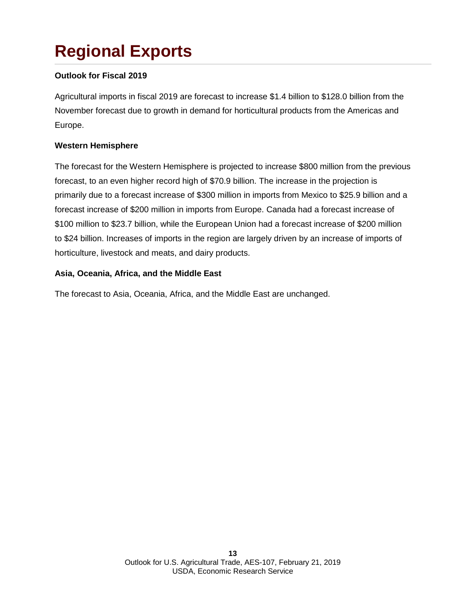# **Regional Exports**

### **Outlook for Fiscal 2019**

Agricultural imports in fiscal 2019 are forecast to increase \$1.4 billion to \$128.0 billion from the November forecast due to growth in demand for horticultural products from the Americas and Europe.

#### **Western Hemisphere**

The forecast for the Western Hemisphere is projected to increase \$800 million from the previous forecast, to an even higher record high of \$70.9 billion. The increase in the projection is primarily due to a forecast increase of \$300 million in imports from Mexico to \$25.9 billion and a forecast increase of \$200 million in imports from Europe. Canada had a forecast increase of \$100 million to \$23.7 billion, while the European Union had a forecast increase of \$200 million to \$24 billion. Increases of imports in the region are largely driven by an increase of imports of horticulture, livestock and meats, and dairy products.

#### **Asia, Oceania, Africa, and the Middle East**

The forecast to Asia, Oceania, Africa, and the Middle East are unchanged.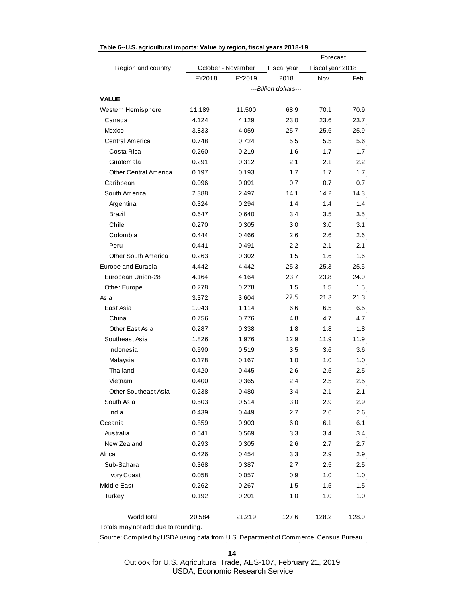|                       |        |                    |                       | Forecast         |                  |  |  |  |
|-----------------------|--------|--------------------|-----------------------|------------------|------------------|--|--|--|
| Region and country    |        | October - November | Fiscal year           | Fiscal year 2018 |                  |  |  |  |
|                       | FY2018 | FY2019             | 2018                  | Nov.             | Feb.             |  |  |  |
|                       |        |                    | ---Billion dollars--- |                  |                  |  |  |  |
| <b>VALUE</b>          |        |                    |                       |                  |                  |  |  |  |
| Western Hemisphere    | 11.189 | 11.500             | 68.9                  | 70.1             | 70.9             |  |  |  |
| Canada                | 4.124  | 4.129              | 23.0                  | 23.6             | 23.7             |  |  |  |
| Mexico                | 3.833  | 4.059              | 25.7                  | 25.6             | 25.9             |  |  |  |
| Central America       | 0.748  | 0.724              | 5.5                   | 5.5              | 5.6              |  |  |  |
| Costa Rica            | 0.260  | 0.219              | 1.6                   | 1.7              | 1.7              |  |  |  |
| Guatemala             | 0.291  | 0.312              | 2.1                   | 2.1              | $2.2\phantom{0}$ |  |  |  |
| Other Central America | 0.197  | 0.193              | 1.7                   | 1.7              | 1.7              |  |  |  |
| Caribbean             | 0.096  | 0.091              | 0.7                   | 0.7              | 0.7              |  |  |  |
| South America         | 2.388  | 2.497              | 14.1                  | 14.2             | 14.3             |  |  |  |
| Argentina             | 0.324  | 0.294              | 1.4                   | 1.4              | 1.4              |  |  |  |
| Brazil                | 0.647  | 0.640              | 3.4                   | 3.5              | 3.5              |  |  |  |
| Chile                 | 0.270  | 0.305              | 3.0                   | 3.0              | 3.1              |  |  |  |
| Colombia              | 0.444  | 0.466              | 2.6                   | 2.6              | 2.6              |  |  |  |
| Peru                  | 0.441  | 0.491              | 2.2                   | 2.1              | 2.1              |  |  |  |
| Other South America   | 0.263  | 0.302              | 1.5                   | 1.6              | 1.6              |  |  |  |
| Europe and Eurasia    | 4.442  | 4.442              | 25.3                  | 25.3             | 25.5             |  |  |  |
| European Union-28     | 4.164  | 4.164              | 23.7                  | 23.8             | 24.0             |  |  |  |
| Other Europe          | 0.278  | 0.278              | 1.5                   | 1.5              | 1.5              |  |  |  |
| Asia                  | 3.372  | 3.604              | 22.5                  | 21.3             | 21.3             |  |  |  |
| East Asia             | 1.043  | 1.114              | 6.6                   | 6.5              | 6.5              |  |  |  |
| China                 | 0.756  | 0.776              | 4.8                   | 4.7              | 4.7              |  |  |  |
| Other East Asia       | 0.287  | 0.338              | 1.8                   | 1.8              | 1.8              |  |  |  |
| Southeast Asia        | 1.826  | 1.976              | 12.9                  | 11.9             | 11.9             |  |  |  |
| Indonesia             | 0.590  | 0.519              | 3.5                   | 3.6              | 3.6              |  |  |  |
| Malaysia              | 0.178  | 0.167              | 1.0                   | 1.0              | 1.0              |  |  |  |
| Thailand              | 0.420  | 0.445              | 2.6                   | 2.5              | 2.5              |  |  |  |
| Vietnam               | 0.400  | 0.365              | 2.4                   | 2.5              | 2.5              |  |  |  |
| Other Southeast Asia  | 0.238  | 0.480              | 3.4                   | 2.1              | 2.1              |  |  |  |
| South Asia            | 0.503  | 0.514              | 3.0                   | 2.9              | 2.9              |  |  |  |
| India                 | 0.439  | 0.449              | 2.7                   | 2.6              | 2.6              |  |  |  |
| Oceania               | 0.859  | 0.903              | 6.0                   | 6.1              | 6.1              |  |  |  |
| Australia             | 0.541  | 0.569              | 3.3                   | 3.4              | 3.4              |  |  |  |
| New Zealand           | 0.293  | 0.305              | 2.6                   | 2.7              | 2.7              |  |  |  |
| Africa                | 0.426  | 0.454              | 3.3                   | 2.9              | 2.9              |  |  |  |
| Sub-Sahara            | 0.368  | 0.387              | 2.7                   | 2.5              | 2.5              |  |  |  |
| Ivory Coast           | 0.058  | 0.057              | 0.9                   | 1.0              | 1.0              |  |  |  |
| Middle East           | 0.262  | 0.267              | 1.5                   | 1.5              | 1.5              |  |  |  |
| Turkey                | 0.192  | 0.201              | 1.0                   | 1.0              | 1.0              |  |  |  |
|                       |        |                    |                       |                  |                  |  |  |  |
| World total           | 20.584 | 21.219             | 127.6                 | 128.2            | 128.0            |  |  |  |

#### **Table 6--U.S. agricultural imports: Value by region, fiscal years 2018-19**

Totals may not add due to rounding.

Source: Compiled by USDA using data from U.S. Department of Commerce, Census Bureau.

**14**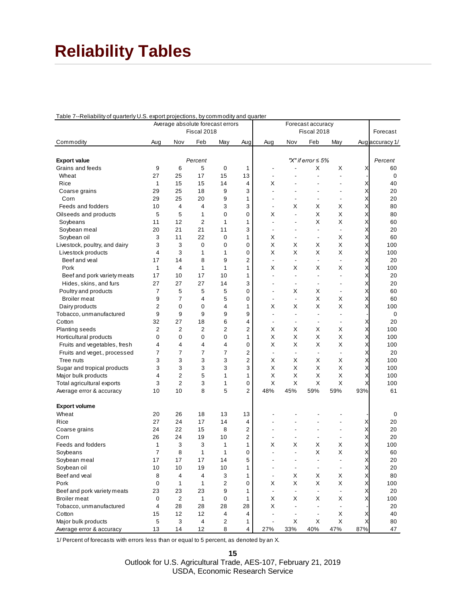### **Reliability Tables**

| Table 7--Reliability of quarterly U.S. export projections, by commodity and quarter |  |  |  |  |
|-------------------------------------------------------------------------------------|--|--|--|--|
|                                                                                     |  |  |  |  |

| Average absolute forecast errors<br>Forecast accuracy |          |                |                |              |                |                          |                               |                          |                          |                           |                 |
|-------------------------------------------------------|----------|----------------|----------------|--------------|----------------|--------------------------|-------------------------------|--------------------------|--------------------------|---------------------------|-----------------|
|                                                       |          |                | Fiscal 2018    |              |                |                          |                               | Fiscal 2018              |                          |                           | Forecast        |
| Commodity                                             | Aug      | Nov            | Feb            | May          | Aug            | Aug                      | Nov                           | Feb                      | May                      |                           | Auglaccuracy 1/ |
|                                                       |          |                |                |              |                |                          |                               | "X" if error $\leq 5\%$  |                          |                           |                 |
| <b>Export value</b>                                   | 9        | 6              | Percent<br>5   | 0            | 1              |                          |                               | X                        | Х                        | X                         | Percent<br>60   |
| Grains and feeds<br>Wheat                             | 27       | 25             | 17             | 15           | 13             | $\overline{\phantom{a}}$ |                               |                          |                          |                           | 0               |
| Rice                                                  | 1        | 15             | 15             | 14           | $\overline{4}$ | х                        |                               |                          |                          | X                         | 40              |
| Coarse grains                                         | 29       | 25             | 18             | 9            | 3              | $\overline{a}$           |                               |                          | $\overline{a}$           | Χ                         | 20              |
| Corn                                                  | 29       | 25             | 20             | 9            | 1              | $\overline{a}$           |                               | $\blacksquare$           | $\blacksquare$           | Χ                         | 20              |
| Feeds and fodders                                     | 10       | 4              | $\overline{4}$ | 3            | 3              | $\blacksquare$           | х                             | Х                        | х                        | X                         | 80              |
| Oilseeds and products                                 | 5        | 5              | 1              | 0            | $\mathbf 0$    | Χ                        | ÷,                            | X                        | X                        | X                         | 80              |
| Soybeans                                              | 11       | 12             | $\overline{2}$ | 1            | 1              | $\blacksquare$           |                               | X                        | Χ                        | Χ                         | 60              |
| Soybean meal                                          | 20       | 21             | 21             | 11           | 3              | $\blacksquare$           | $\overline{\phantom{a}}$      | $\overline{a}$           | $\overline{a}$           | X                         | 20              |
| Soybean oil                                           | 3        | 11             | 22             | 0            | $\mathbf{1}$   | X                        |                               | $\blacksquare$           | Х                        | Χ                         | 60              |
| Livestock, poultry, and dairy                         | 3        | 3              | 0              | 0            | $\mathbf 0$    | Χ                        | X                             | Х                        | Χ                        | Χ                         | 100             |
| Livestock products                                    | 4        | 3              | 1              | 1            | $\mathbf 0$    | X                        | X                             | X                        | X                        | X                         | 100             |
| Beef and veal                                         | 17       | 14             | 8              | 9            | $\overline{2}$ | $\overline{\phantom{a}}$ | $\overline{\phantom{a}}$      | $\blacksquare$           | $\blacksquare$           | X                         | 20              |
| Pork                                                  | 1        | 4              | 1              | 1            | 1              | Χ                        | X                             | Х                        | X                        | Χ                         | 100             |
| Beef and pork variety meats                           | 17       | 10             | 17             | 10           | 1              | L,                       | $\overline{\phantom{a}}$      | ä,                       |                          | X                         | 20              |
| Hides, skins, and furs                                | 27       | 27             | 27             | 14           | 3              | $\overline{a}$           | $\overline{\phantom{a}}$      | $\overline{\phantom{a}}$ |                          | Χ                         | 20              |
| Poultry and products                                  | 7        | 5              | 5              | 5            | $\mathbf 0$    | $\overline{a}$           | х                             | Х                        | $\overline{\phantom{a}}$ | X                         | 60              |
| <b>Broiler</b> meat                                   | 9        | 7              | 4              | 5            | $\mathbf 0$    | $\blacksquare$           | $\blacksquare$                | X                        | X                        | X                         | 60              |
| Dairy products                                        | 2        | 0              | 0              | 4            | 1              | Χ                        | Χ                             | X                        | Χ                        | X                         | 100             |
| Tobacco, unmanufactured                               | 9        | 9              | 9              | 9            | 9              | $\overline{a}$           | $\overline{a}$                | $\overline{\phantom{a}}$ |                          |                           | 0               |
| Cotton                                                | 32       | 27             | 18             | 6            | 4              | $\blacksquare$           | $\overline{\phantom{a}}$      | $\overline{\phantom{a}}$ | $\overline{a}$           | Х                         | 20              |
| Planting seeds                                        | 2        | $\overline{2}$ | $\overline{2}$ | 2            | $\overline{2}$ | Χ                        | X                             | X                        | Χ                        | X                         | 100             |
| Horticultural products                                | 0        | 0              | 0              | 0            | 1              | Χ                        | Χ                             | X                        | X                        | X                         | 100             |
| Fruits and vegetables, fresh                          | 4        | $\overline{4}$ | 4              | 4            | 0              | X                        | Χ                             | X                        | Χ                        | Χ                         | 100             |
| Fruits and veget., processed                          | 7        | $\overline{7}$ | 7              | 7            | $\overline{2}$ | $\overline{\phantom{a}}$ | ÷,                            | $\overline{\phantom{a}}$ |                          | X                         | 20              |
| Tree nuts                                             | 3        | 3              | 3              | 3            | $\overline{2}$ | X                        | Χ                             | X                        | X                        | Χ                         | 100             |
| Sugar and tropical products                           | 3        | 3              | 3              | 3            | 3              | X                        | X                             | Х                        | х                        | Χ                         | 100             |
| Major bulk products                                   | 4        | $\overline{2}$ | 5              | $\mathbf{1}$ | 1              | X                        | Χ                             | X                        | Χ                        | X                         | 100             |
| Total agricultural exports                            | 3        | $\overline{2}$ | 3              | 1            | 0              | X                        | X                             | X                        | X                        | X                         | 100             |
| Average error & accuracy                              | 10       | 10             | 8              | 5            | 2              | 48%                      | 45%                           | 59%                      | 59%                      | 93%                       | 61              |
|                                                       |          |                |                |              |                |                          |                               |                          |                          |                           |                 |
| <b>Export volume</b>                                  |          |                | 18             |              |                |                          |                               |                          |                          |                           |                 |
| Wheat                                                 | 20<br>27 | 26<br>24       |                | 13<br>14     | 13<br>4        |                          |                               |                          |                          |                           | 0               |
| Rice                                                  |          |                | 17             |              | $\overline{2}$ |                          |                               |                          | ٠                        | х<br>X                    | 20              |
| Coarse grains                                         | 24       | 22             | 15             | 8            |                | $\overline{\phantom{a}}$ |                               |                          |                          |                           | 20              |
| Corn                                                  | 26       | 24             | 19             | 10           | 2              |                          |                               | $\overline{\phantom{a}}$ | $\overline{a}$           | X                         | 20              |
| Feeds and fodders                                     | 1<br>7   | 3              | 3              | 1            | 1              | Х<br>÷.                  | Χ<br>٠                        | Х<br>X                   | х                        | Χ                         | 100             |
| Soybeans                                              |          | 8              | 1              | 1            | 0<br>5         |                          |                               |                          | Χ                        | Χ                         | 60              |
| Soybean meal                                          | 17       | 17             | 17             | 14           |                |                          |                               |                          |                          |                           | 20              |
| Soybean oil                                           | $10$     | 10<br>4        | 19             | $10$         | 1              | $\overline{\phantom{a}}$ | $\overline{\phantom{a}}$      | $\overline{\phantom{a}}$ | $\overline{\phantom{a}}$ | X                         | 20              |
| Beef and veal<br>Pork                                 | 8        |                | 4              | 3            | 1              | $\blacksquare$           | Χ                             | X<br>X                   | Χ                        | $\boldsymbol{\mathsf{X}}$ | 80              |
|                                                       | 0        | 1              | 1              | 2            | 0              | X                        | X                             |                          | X                        | X                         | 100             |
| Beef and pork variety meats                           | 23       | 23             | 23             | 9            | 1              | $\overline{\phantom{a}}$ | $\overline{\phantom{a}}$      | $\overline{\phantom{a}}$ | $\overline{\phantom{a}}$ | X                         | 20              |
| Broiler meat<br>Tobacco, unmanufactured               | 0<br>4   | 2<br>28        | 1<br>28        | 0            | 1<br>28        | X<br>X                   | X<br>$\blacksquare$           | X<br>$\blacksquare$      | X                        | X                         | 100<br>20       |
|                                                       |          | 12             |                | 28<br>4      | 4              | $\overline{\phantom{a}}$ |                               | $\overline{\phantom{a}}$ | $\blacksquare$           |                           | 40              |
| Cotton<br>Major bulk products                         | 15<br>5  | 3              | 12<br>4        | 2            | $\mathbf{1}$   | $\overline{\phantom{a}}$ | $\overline{\phantom{a}}$<br>X | X                        | X<br>X                   | X<br>X                    | 80              |
| Average error & accuracy                              | 13       | 14             | 12             | 8            | 4              | 27%                      | 33%                           | 40%                      | 47%                      | 87%                       | 47              |

1/ Percent of forecasts with errors less than or equal to 5 percent, as denoted by an X.

**15**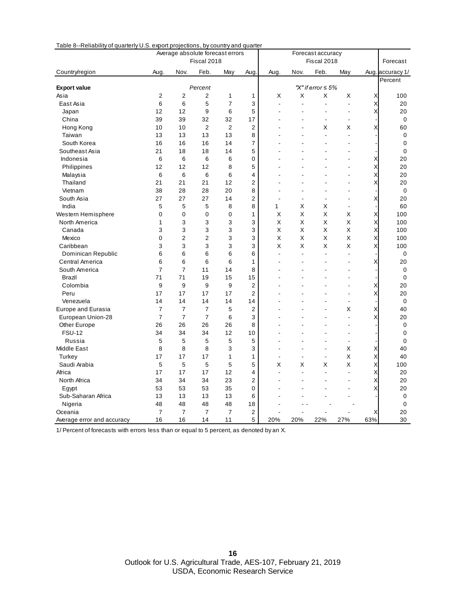| rapic o<br>⊤i\CiiaDility<br>or quarterly 0.0. export projections, by country and quarter |                |                | Average absolute forecast errors |                |                | Forecast accuracy        |                |                         |                          |     |                  |
|------------------------------------------------------------------------------------------|----------------|----------------|----------------------------------|----------------|----------------|--------------------------|----------------|-------------------------|--------------------------|-----|------------------|
|                                                                                          |                |                | Fiscal 2018                      |                |                | Fiscal 2018              |                |                         |                          |     | Forecast         |
| Country/region                                                                           | Aug            | Nov.           | Feb.                             | May            | Aug            | Aug.                     | Nov.           | Feb.                    | May                      |     | Aug. accuracy 1/ |
|                                                                                          |                |                |                                  |                |                |                          |                |                         |                          |     | Percent          |
| <b>Export value</b>                                                                      |                |                | Percent                          |                |                |                          |                | "X" if error $\leq 5\%$ |                          |     |                  |
| Asia                                                                                     | $\overline{2}$ | $\overline{c}$ | 2                                | 1              | 1              | X                        | X              | X                       | X                        | Χ   | 100              |
| East Asia                                                                                | 6              | 6              | 5                                | 7              | 3              | ä,                       |                | ÷,                      | L,                       | X   | 20               |
| Japan                                                                                    | 12             | 12             | 9                                | 6              | 5              |                          |                |                         |                          | X   | 20               |
| China                                                                                    | 39             | 39             | 32                               | 32             | 17             |                          |                | $\overline{a}$          | $\overline{a}$           |     | 0                |
| Hong Kong                                                                                | 10             | 10             | $\overline{2}$                   | $\overline{2}$ | $\overline{2}$ |                          |                | Χ                       | Χ                        | Χ   | 60               |
| Taiwan                                                                                   | 13             | 13             | 13                               | 13             | 8              |                          |                | L.                      | ÷.                       |     | $\mathbf 0$      |
| South Korea                                                                              | 16             | 16             | 16                               | 14             | 7              |                          |                |                         |                          |     | 0                |
| Southeast Asia                                                                           | 21             | 18             | 18                               | 14             | 5              |                          |                |                         |                          |     | $\mathbf 0$      |
| Indonesia                                                                                | 6              | 6              | 6                                | 6              | 0              |                          |                |                         | L.                       | X   | 20               |
| Philippines                                                                              | 12             | 12             | 12                               | 8              | 5              |                          |                |                         |                          | X   | 20               |
| Malaysia                                                                                 | 6              | 6              | 6                                | 6              | 4              |                          |                |                         | L,                       | X   | 20               |
| Thailand                                                                                 | 21             | 21             | 21                               | 12             | 2              |                          |                |                         |                          | X   | 20               |
| Vietnam                                                                                  | 38             | 28             | 28                               | 20             | 8              | ÷                        |                |                         | $\overline{a}$           |     | 0                |
| South Asia                                                                               | 27             | 27             | 27                               | 14             | 2              |                          |                |                         |                          | X   | 20               |
| India                                                                                    | 5              | 5              | 5                                | 8              | 8              | 1                        | X              | Χ                       | $\overline{a}$           |     | 60               |
| Western Hemisphere                                                                       | 0              | $\mathbf 0$    | 0                                | 0              | 1              | X                        | Χ              | Χ                       | X                        | X   | 100              |
| North America                                                                            | $\mathbf{1}$   | 3              | 3                                | 3              | 3              | X                        | X              | X                       | X                        | X   | 100              |
| Canada                                                                                   | 3              | 3              | 3                                | 3              | 3              | X                        | Χ              | Χ                       | X                        | X   | 100              |
| Mexico                                                                                   | 0              | $\overline{c}$ | 2                                | 3              | 3              | X                        | X              | X                       | X                        | X   | 100              |
| Caribbean                                                                                | 3              | 3              | 3                                | 3              | 3              | X                        | Χ              | Χ                       | X                        | X   | 100              |
| Dominican Republic                                                                       | 6              | 6              | 6                                | 6              | 6              | $\overline{a}$           |                | $\overline{a}$          | L,                       |     | 0                |
| Central America                                                                          | 6              | 6              | 6                                | 6              | 1              |                          |                |                         | L,                       | Х   | 20               |
| South America                                                                            | $\overline{7}$ | $\overline{7}$ | 11                               | 14             | 8              |                          |                |                         |                          |     | 0                |
| <b>Brazil</b>                                                                            | 71             | 71             | 19                               | 15             | 15             |                          |                |                         |                          |     | 0                |
| Colombia                                                                                 | 9              | 9              | 9                                | 9              | $\overline{2}$ |                          |                |                         | L,                       | X   | 20               |
| Peru                                                                                     | 17             | 17             | 17                               | 17             | $\overline{2}$ |                          |                |                         |                          | X   | 20               |
| Venezuela                                                                                | 14             | 14             | 14                               | 14             | 14             |                          |                |                         | $\blacksquare$           |     | 0                |
| Europe and Eurasia                                                                       | $\overline{7}$ | $\overline{7}$ | $\overline{7}$                   | 5              | $\overline{c}$ |                          |                |                         | Χ                        | X   | 40               |
| European Union-28                                                                        | $\overline{7}$ | $\overline{7}$ | $\overline{7}$                   | 6              | 3              |                          |                |                         |                          | X   | 20               |
| Other Europe                                                                             | 26             | 26             | 26                               | 26             | 8              |                          |                |                         | $\overline{a}$           |     | 0                |
| <b>FSU-12</b>                                                                            | 34             | 34             | 34                               | 12             | 10             |                          |                |                         | L.                       |     | 0                |
| Russia                                                                                   | 5              | 5              | 5                                | 5              | 5              |                          |                | J.                      | $\overline{\phantom{0}}$ |     | 0                |
| <b>Middle East</b>                                                                       | 8              | 8              | 8                                | 3              | 3              |                          |                | ÷,                      | X                        | X   | 40               |
| Turkey                                                                                   | 17             | 17             | 17                               | 1              | 1              | $\overline{\phantom{a}}$ | $\blacksquare$ | $\blacksquare$          | X                        | X   | 40               |
| Saudi Arabia                                                                             | 5              | 5              | 5                                | 5              | 5              | Χ                        | Χ              | Χ                       | Χ                        | X   | 100              |
| Africa                                                                                   | 17             | 17             | 17                               | 12             | 4              | $\overline{a}$           |                | ÷,                      | $\overline{a}$           | Χ   | 20               |
| North Africa                                                                             | 34             | 34             | 34                               | 23             | 2              |                          |                |                         |                          | Χ   | 20               |
| Egypt                                                                                    | 53             | 53             | 53                               | 35             | 0              |                          |                |                         |                          | Χ   | 20               |
| Sub-Saharan Africa                                                                       | 13             | 13             | 13                               | 13             | 6              |                          |                |                         |                          |     | 0                |
| Nigeria                                                                                  | 48             | 48             | 48                               | 48             | 18             |                          |                |                         |                          |     | 0                |
| Oceania                                                                                  | $\overline{7}$ | $\overline{7}$ | $\overline{7}$                   | $\overline{7}$ | 2              |                          |                |                         |                          | Х   | 20               |
| Average error and accuracy                                                               | 16             | 16             | 14                               | 11             | 5              | 20%                      | 20%            | 22%                     | 27%                      | 63% | 30               |

Table 8--Reliability of quarterly U.S. export projections, by country and quarter

1/ Percent of forecasts with errors less than or equal to 5 percent, as denoted by an X.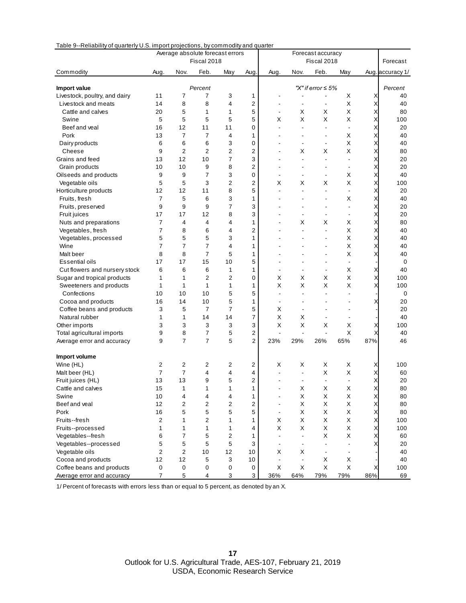| 100100                        | Trendomy or quarterly offer million projections, by commodity and quarter<br>Average absolute forecast errors |                |                |                | Forecast accuracy |                          |                |                          |                          |                           |                  |
|-------------------------------|---------------------------------------------------------------------------------------------------------------|----------------|----------------|----------------|-------------------|--------------------------|----------------|--------------------------|--------------------------|---------------------------|------------------|
|                               |                                                                                                               |                | Fiscal 2018    |                |                   |                          |                | Fiscal 2018              |                          |                           | Forecast         |
| Commodity                     | Aug.                                                                                                          | Nov.           | Feb.           | May            | Aug.              | Aug.                     | Nov.           | Feb.                     | May                      |                           | Aug. accuracy 1/ |
| Import value                  |                                                                                                               |                | Percent        |                |                   |                          |                | "X" if error $\leq 5\%$  |                          |                           | Percent          |
| Livestock, poultry, and dairy | 11                                                                                                            | 7              | 7              | 3              | 1                 |                          |                |                          | X                        | Х                         | 40               |
| Livestock and meats           | 14                                                                                                            | 8              | 8              | 4              | 2                 | $\overline{a}$           |                | $\overline{\phantom{a}}$ | X                        | X                         | 40               |
| Cattle and calves             | 20                                                                                                            | 5              | 1              | 1              | 5                 | $\overline{\phantom{a}}$ | Х              | X                        | X                        | X                         | 80               |
| Swine                         | 5                                                                                                             | 5              | 5              | 5              | 5                 | X                        | Х              | X                        | X                        | X                         | 100              |
| Beef and veal                 | 16                                                                                                            | 12             | 11             | 11             | 0                 |                          |                | $\blacksquare$           | $\overline{a}$           | Χ                         | 20               |
| Pork                          | 13                                                                                                            | 7              | 7              | 4              | 1                 |                          |                | $\overline{\phantom{a}}$ | X                        | X                         | 40               |
| Dairy products                | 6                                                                                                             | 6              | 6              | 3              | 0                 |                          |                | $\overline{\phantom{a}}$ | X                        | X                         | 40               |
| Cheese                        | 9                                                                                                             | $\overline{2}$ | $\overline{c}$ | 2              | 2                 |                          | X              | X                        | X                        | X                         | 80               |
| Grains and feed               | 13                                                                                                            | 12             | 10             | $\overline{7}$ | 3                 |                          |                | $\overline{\phantom{a}}$ |                          | X                         | 20               |
| Grain products                | 10                                                                                                            | 10             | 9              | 8              | $\overline{c}$    |                          |                |                          | $\blacksquare$           | X                         | 20               |
| Oilseeds and products         | 9                                                                                                             | 9              | $\overline{7}$ | 3              | 0                 |                          |                | $\overline{\phantom{a}}$ | Х                        | X                         | 40               |
| Vegetable oils                | 5                                                                                                             | 5              | 3              | $\overline{c}$ | $\overline{2}$    | Х                        | х              | х                        | X                        | X                         | 100              |
| Horticulture products         | 12                                                                                                            | 12             | 11             | 8              | 5                 | ä,                       |                | $\blacksquare$           |                          | Χ                         | 20               |
| Fruits, fresh                 | 7                                                                                                             | 5              | 6              | 3              | 1                 |                          |                |                          | X                        | X                         | 40               |
| Fruits, preserved             | 9                                                                                                             | 9              | 9              | $\overline{7}$ | 3                 |                          |                | ÷,                       |                          | X                         | 20               |
| Fruit juices                  | 17                                                                                                            | 17             | 12             | 8              | 3                 |                          |                | L,                       | $\overline{a}$           | X                         | 20               |
| Nuts and preparations         | $\overline{7}$                                                                                                | 4              | 4              | 4              | 1                 |                          | Х              | X                        | X                        | X                         | 80               |
| Vegetables, fresh             | 7                                                                                                             | 8              | 6              | 4              | 2                 |                          |                | $\blacksquare$           | X                        | X                         | 40               |
| Vegetables, processed         | 5                                                                                                             | 5              | 5              | 3              | $\mathbf{1}$      |                          |                | ä,                       | X                        | X                         | 40               |
| Wine                          | $\overline{7}$                                                                                                | $\overline{7}$ | $\overline{7}$ | 4              | 1                 |                          |                | ÷,                       | X                        | X                         | 40               |
| Malt beer                     | 8                                                                                                             | 8              | $\overline{7}$ | 5              | 1                 |                          |                | ÷,                       | X                        | X                         | 40               |
| Essential oils                | 17                                                                                                            | 17             | 15             | 10             | 5                 |                          |                | ٠                        | $\overline{\phantom{a}}$ |                           | 0                |
| Cut flowers and nursery stock | 6                                                                                                             | 6              | 6              | 1              | 1                 | ä,                       |                | ÷.                       | X                        | Χ                         | 40               |
| Sugar and tropical products   | 1                                                                                                             | 1              | 2              | $\overline{2}$ | 0                 | х                        | х              | х                        | Χ                        | X                         | 100              |
| Sweeteners and products       | 1                                                                                                             | 1              | $\mathbf{1}$   | 1              | 1                 | X                        | X              | X                        | X                        | X                         | 100              |
| Confections                   | 10                                                                                                            | 10             | 10             | 5              | 5                 |                          |                | ä,                       |                          |                           | 0                |
| Cocoa and products            | 16                                                                                                            | 14             | 10             | 5              | 1                 | $\overline{a}$           |                |                          |                          | Χ                         | 20               |
| Coffee beans and products     | 3                                                                                                             | 5              | $\overline{7}$ | $\overline{7}$ | 5                 | х                        |                | ÷,                       |                          |                           | 20               |
| Natural rubber                | 1                                                                                                             | 1              | 14             | 14             | 7                 | X                        | X              |                          |                          |                           | 40               |
| Other imports                 | 3                                                                                                             | 3              | 3              | 3              | 3                 | Χ                        | X              | Х                        | Χ                        | Χ                         | 100              |
| Total agricultural imports    | 9                                                                                                             | 8              | 7              | 5              | 2                 | $\overline{a}$           |                | L,                       | X                        | Χ                         | 40               |
| Average error and accuracy    | 9                                                                                                             | $\overline{7}$ | $\overline{7}$ | 5              | 2                 | 23%                      | 29%            | 26%                      | 65%                      | 87%                       | 46               |
| Import volume                 |                                                                                                               |                |                |                |                   |                          |                |                          |                          |                           |                  |
| Wine (HL)                     | $\overline{2}$                                                                                                | 2              | 2              | 2              | 2                 | х                        | х              | Х                        | х                        | X                         | 100              |
| Malt beer (HL)                | $\overline{7}$                                                                                                | $\overline{7}$ | 4              | $\overline{4}$ | 4                 |                          | $\overline{a}$ | X                        | Χ                        | Χ                         | 60               |
| Fruit juices (HL)             | 13                                                                                                            | 13             | 9              | 5              | 2                 |                          |                | $\blacksquare$           |                          | X                         | 20               |
| Cattle and calves             | 15                                                                                                            | 1              | 1              | 1              | 1                 |                          | Χ              | Χ                        | Χ                        |                           | 80               |
| Swine                         | 10                                                                                                            | 4              | 4              | 4              | 1                 |                          | Χ              | X                        | X                        | X                         | 80               |
| Beef and veal                 | 12                                                                                                            | $\overline{2}$ | 2              | $\overline{c}$ | 2                 | ä,                       | X              | X                        | X                        | $\times$                  | 80               |
| Pork                          | 16                                                                                                            | 5              | 5              | 5              | 5                 | $\blacksquare$           | Χ              | X                        | X                        | $\boldsymbol{\mathsf{X}}$ | 80               |
| Fruits--fresh                 | $\overline{c}$                                                                                                | 1              | 2              | 1              | 1                 | X                        | Χ              | X                        | X                        | X                         | 100              |
| Fruits--processed             | 1                                                                                                             | 1              | 1              | 1              | 4                 | X                        | Χ              | X                        | X                        | X                         | 100              |
| Vegetables--fresh             | 6                                                                                                             | 7              | 5              | $\overline{c}$ | 1                 |                          |                | Χ                        | X                        | X                         | 60               |
| Vegetables--processed         | 5                                                                                                             | 5              | 5              | 5              | 3                 |                          |                |                          |                          | Χ                         | 20               |
| Vegetable oils                | $\overline{2}$                                                                                                | $\overline{2}$ | 10             | 12             | 10                | Χ                        | Х              | $\overline{\phantom{a}}$ | $\overline{\phantom{a}}$ |                           | 40               |
| Cocoa and products            | 12                                                                                                            | 12             | 5              | 3              | 10                | $\blacksquare$           |                | X                        | X                        |                           | 40               |
| Coffee beans and products     | $\pmb{0}$                                                                                                     | 0              | 0              | $\pmb{0}$      | 0                 | X                        | X              | $\mathsf X$              | X                        | Х                         | 100              |
| Average error and accuracy    | $\overline{7}$                                                                                                | 5              | 4              | 3              | 3                 | 36%                      | 64%            | 79%                      | 79%                      | 86%                       | 69               |

Table 9--Reliability of quarterly U.S. import projections, by commodity and quarter

1/ Percent of forecasts with errors less than or equal to 5 percent, as denoted by an X.